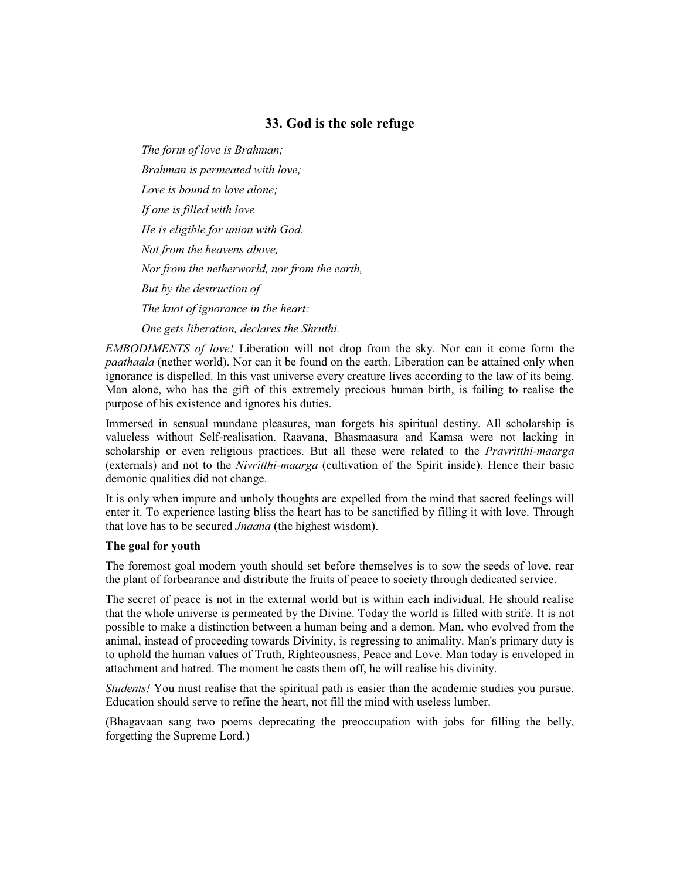# **33. God is the sole refuge**

*The form of love is Brahman; Brahman is permeated with love; Love is bound to love alone; If one is filled with love He is eligible for union with God. Not from the heavens above, Nor from the netherworld, nor from the earth, But by the destruction of The knot of ignorance in the heart: One gets liberation, declares the Shruthi.*

*EMBODIMENTS of love!* Liberation will not drop from the sky. Nor can it come form the *paathaala* (nether world). Nor can it be found on the earth. Liberation can be attained only when ignorance is dispelled. In this vast universe every creature lives according to the law of its being. Man alone, who has the gift of this extremely precious human birth, is failing to realise the purpose of his existence and ignores his duties.

Immersed in sensual mundane pleasures, man forgets his spiritual destiny. All scholarship is valueless without Self-realisation. Raavana, Bhasmaasura and Kamsa were not lacking in scholarship or even religious practices. But all these were related to the *Pravritthi-maarga* (externals) and not to the *Nivritthi-maarga* (cultivation of the Spirit inside). Hence their basic demonic qualities did not change.

It is only when impure and unholy thoughts are expelled from the mind that sacred feelings will enter it. To experience lasting bliss the heart has to be sanctified by filling it with love. Through that love has to be secured *Jnaana* (the highest wisdom).

#### **The goal for youth**

The foremost goal modern youth should set before themselves is to sow the seeds of love, rear the plant of forbearance and distribute the fruits of peace to society through dedicated service.

The secret of peace is not in the external world but is within each individual. He should realise that the whole universe is permeated by the Divine. Today the world is filled with strife. It is not possible to make a distinction between a human being and a demon. Man, who evolved from the animal, instead of proceeding towards Divinity, is regressing to animality. Man's primary duty is to uphold the human values of Truth, Righteousness, Peace and Love. Man today is enveloped in attachment and hatred. The moment he casts them off, he will realise his divinity.

*Students!* You must realise that the spiritual path is easier than the academic studies you pursue. Education should serve to refine the heart, not fill the mind with useless lumber.

(Bhagavaan sang two poems deprecating the preoccupation with jobs for filling the belly, forgetting the Supreme Lord.)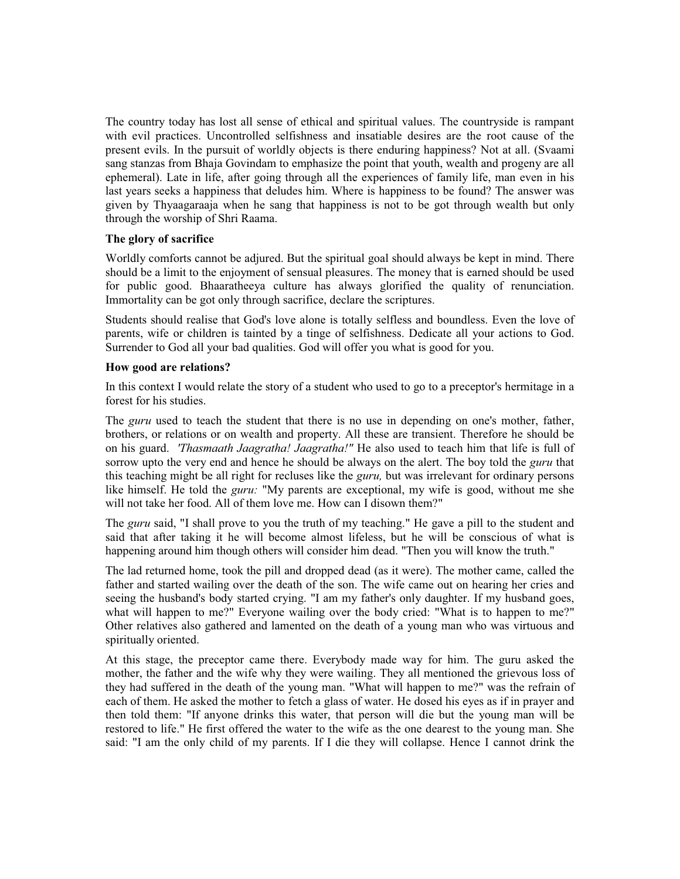The country today has lost all sense of ethical and spiritual values. The countryside is rampant with evil practices. Uncontrolled selfishness and insatiable desires are the root cause of the present evils. In the pursuit of worldly objects is there enduring happiness? Not at all. (Svaami sang stanzas from Bhaja Govindam to emphasize the point that youth, wealth and progeny are all ephemeral). Late in life, after going through all the experiences of family life, man even in his last years seeks a happiness that deludes him. Where is happiness to be found? The answer was given by Thyaagaraaja when he sang that happiness is not to be got through wealth but only through the worship of Shri Raama.

## **The glory of sacrifice**

Worldly comforts cannot be adjured. But the spiritual goal should always be kept in mind. There should be a limit to the enjoyment of sensual pleasures. The money that is earned should be used for public good. Bhaaratheeya culture has always glorified the quality of renunciation. Immortality can be got only through sacrifice, declare the scriptures.

Students should realise that God's love alone is totally selfless and boundless. Even the love of parents, wife or children is tainted by a tinge of selfishness. Dedicate all your actions to God. Surrender to God all your bad qualities. God will offer you what is good for you.

## **How good are relations?**

In this context I would relate the story of a student who used to go to a preceptor's hermitage in a forest for his studies.

The *guru* used to teach the student that there is no use in depending on one's mother, father, brothers, or relations or on wealth and property. All these are transient. Therefore he should be on his guard. *'Thasmaath Jaagratha! Jaagratha!"* He also used to teach him that life is full of sorrow upto the very end and hence he should be always on the alert. The boy told the *guru* that this teaching might be all right for recluses like the *guru,* but was irrelevant for ordinary persons like himself. He told the *guru:* "My parents are exceptional, my wife is good, without me she will not take her food. All of them love me. How can I disown them?"

The *guru* said, "I shall prove to you the truth of my teaching." He gave a pill to the student and said that after taking it he will become almost lifeless, but he will be conscious of what is happening around him though others will consider him dead. "Then you will know the truth."

The lad returned home, took the pill and dropped dead (as it were). The mother came, called the father and started wailing over the death of the son. The wife came out on hearing her cries and seeing the husband's body started crying. "I am my father's only daughter. If my husband goes, what will happen to me?" Everyone wailing over the body cried: "What is to happen to me?" Other relatives also gathered and lamented on the death of a young man who was virtuous and spiritually oriented.

At this stage, the preceptor came there. Everybody made way for him. The guru asked the mother, the father and the wife why they were wailing. They all mentioned the grievous loss of they had suffered in the death of the young man. "What will happen to me?" was the refrain of each of them. He asked the mother to fetch a glass of water. He dosed his eyes as if in prayer and then told them: "If anyone drinks this water, that person will die but the young man will be restored to life." He first offered the water to the wife as the one dearest to the young man. She said: "I am the only child of my parents. If I die they will collapse. Hence I cannot drink the